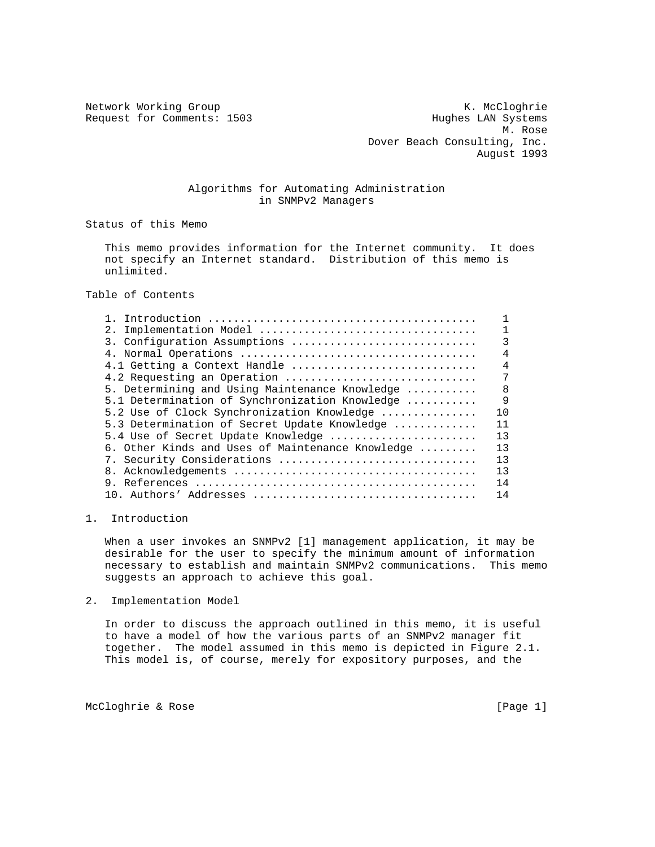Network Working Group Network Working Group Network Working Group Request for Comments: 1503 Hughes LAN Systems M. Rose Dover Beach Consulting, Inc. August 1993

## Algorithms for Automating Administration in SNMPv2 Managers

Status of this Memo

 This memo provides information for the Internet community. It does not specify an Internet standard. Distribution of this memo is unlimited.

Table of Contents

| 3. Configuration Assumptions                     | 3              |
|--------------------------------------------------|----------------|
|                                                  | 4              |
| 4.1 Getting a Context Handle                     | $\overline{4}$ |
| 4.2 Requesting an Operation                      | 7              |
| 5. Determining and Using Maintenance Knowledge   | 8              |
| 5.1 Determination of Synchronization Knowledge   | 9              |
| 5.2 Use of Clock Synchronization Knowledge       | 10             |
| 5.3 Determination of Secret Update Knowledge     | 11             |
| 5.4 Use of Secret Update Knowledge               | 13             |
| 6. Other Kinds and Uses of Maintenance Knowledge | 13             |
| 7. Security Considerations                       | 13             |
|                                                  | 13             |
|                                                  | 14             |
|                                                  | 14             |
|                                                  |                |

1. Introduction

 When a user invokes an SNMPv2 [1] management application, it may be desirable for the user to specify the minimum amount of information necessary to establish and maintain SNMPv2 communications. This memo suggests an approach to achieve this goal.

2. Implementation Model

 In order to discuss the approach outlined in this memo, it is useful to have a model of how the various parts of an SNMPv2 manager fit together. The model assumed in this memo is depicted in Figure 2.1. This model is, of course, merely for expository purposes, and the

McCloghrie & Rose [Page 1]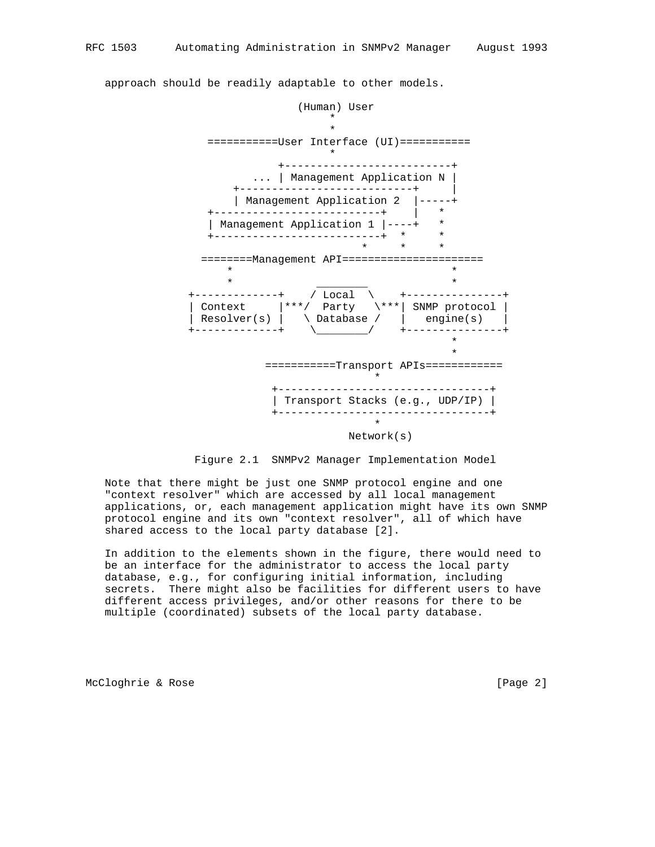(Human) User  $\star$  $\star$  ===========User Interface (UI)===========  $\star$  +--------------------------+ ... | Management Application N | +---------------------------+ | | Management Application 2 |-----+ +--------------------------+ | \* | Management Application 1 |----+ \* +--------------------------+ \* \*  $\star$   $\star$   $\star$   $\star$  ========Management API======================  $\star$  \*  $\star$   $\qquad \qquad$   $\star$  +-------------+ / Local \ +---------------+ | Context |\*\*\*/ Party \\*\*\*| SNMP protocol | | Resolver(s) | \ Database / | engine(s) | +-------------+ \\_\_\_\_\_\_\_\_/ +---------------+  $\star$  $\star$  ===========Transport APIs============  $\star$  +---------------------------------+ | Transport Stacks (e.g., UDP/IP) | +---------------------------------+  $\star$ Network(s)

approach should be readily adaptable to other models.



 Note that there might be just one SNMP protocol engine and one "context resolver" which are accessed by all local management applications, or, each management application might have its own SNMP protocol engine and its own "context resolver", all of which have shared access to the local party database [2].

 In addition to the elements shown in the figure, there would need to be an interface for the administrator to access the local party database, e.g., for configuring initial information, including secrets. There might also be facilities for different users to have different access privileges, and/or other reasons for there to be multiple (coordinated) subsets of the local party database.

McCloghrie & Rose [Page 2]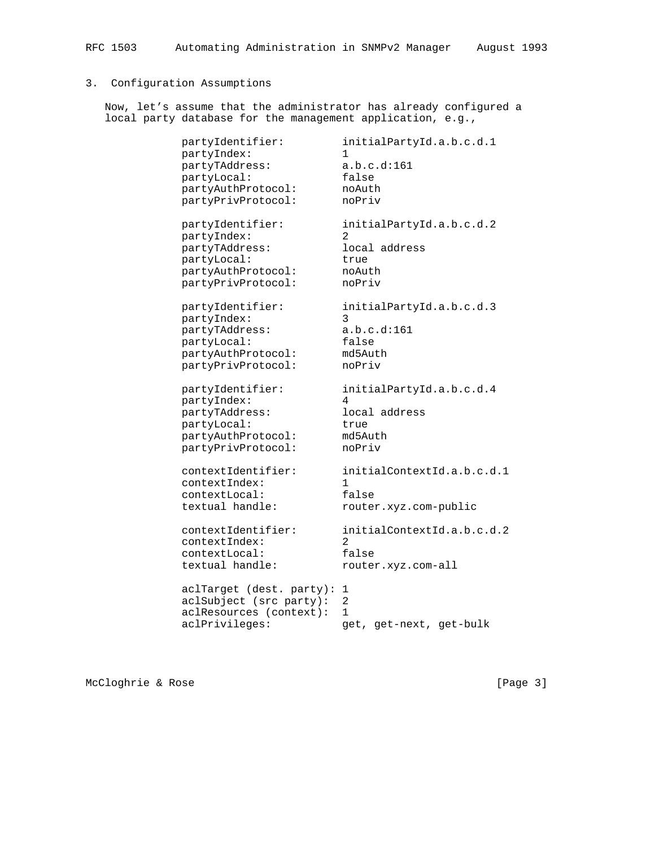# 3. Configuration Assumptions

 Now, let's assume that the administrator has already configured a local party database for the management application, e.g.,

| partyIdentifier:<br>partyIndex:<br>partyTAddress:<br>partyLocal:<br>partyAuthProtocol: | initialPartyId.a.b.c.d.1<br>1.<br>a.b.c.d:161<br>false<br>noAuth |
|----------------------------------------------------------------------------------------|------------------------------------------------------------------|
| partyPrivProtocol:                                                                     | noPriv                                                           |
| partyIdentifier:<br>partyIndex:                                                        | initialPartyId.a.b.c.d.2<br>$\mathcal{D}$                        |
| partyTAddress:                                                                         | local address                                                    |
| partyLocal:                                                                            | true                                                             |
| partyAuthProtocol:                                                                     | noAuth                                                           |
| partyPrivProtocol:                                                                     | noPriv                                                           |
| partyIdentifier:                                                                       | initialPartyId.a.b.c.d.3<br>3                                    |
| partyIndex:<br>partyTAddress:                                                          | a.b.c.d:161                                                      |
| partyLocal:                                                                            | false                                                            |
| partyAuthProtocol:                                                                     | md5Auth                                                          |
| partyPrivProtocol:                                                                     | noPriv                                                           |
| partyIdentifier:                                                                       | initialPartyId.a.b.c.d.4                                         |
| partyIndex:                                                                            | 4<br>local address                                               |
| partyTAddress:                                                                         | true                                                             |
| partyLocal:<br>partyAuthProtocol:                                                      | md5Auth                                                          |
| partyPrivProtocol:                                                                     | noPriv                                                           |
|                                                                                        |                                                                  |
| contextIdentifier:<br>contextIndex:                                                    | initialContextId.a.b.c.d.1<br>1                                  |
| contextLocal:                                                                          | false                                                            |
| textual handle:                                                                        | router.xyz.com-public                                            |
|                                                                                        |                                                                  |
| contextIdentifier:                                                                     | initialContextId.a.b.c.d.2                                       |
| contextIndex:                                                                          | 2                                                                |
| contextLocal:                                                                          | false                                                            |
| textual handle:                                                                        | router.xyz.com-all                                               |
| aclTarget (dest. party):                                                               | 1                                                                |
| aclSubject (src party):                                                                | 2                                                                |
| aclResources (context):                                                                | 1                                                                |
| aclPrivileges:                                                                         | get, get-next, get-bulk                                          |

McCloghrie & Rose [Page 3]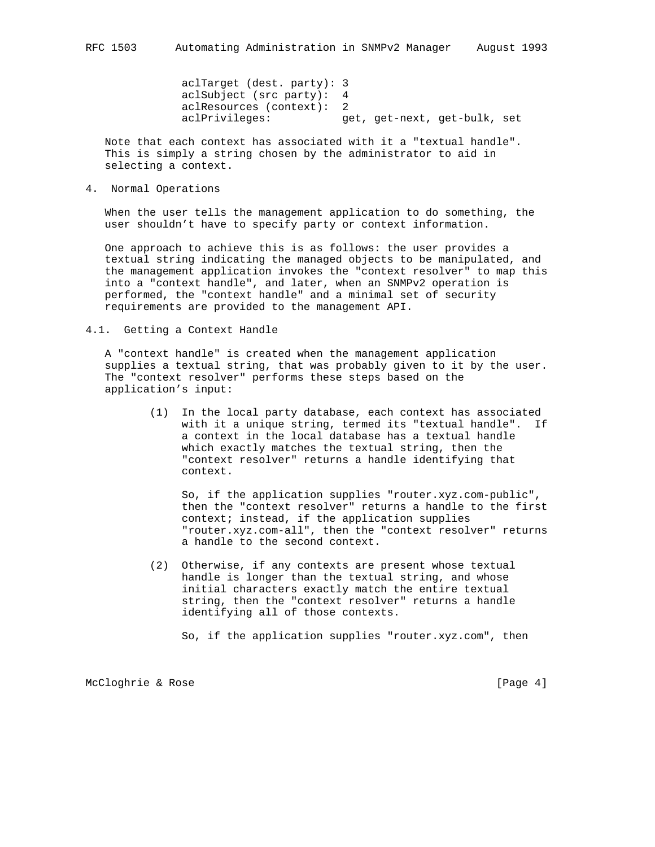aclTarget (dest. party): 3 aclSubject (src party): 4 aclResources (context): 2 aclPrivileges: get, get-next, get-bulk, set

 Note that each context has associated with it a "textual handle". This is simply a string chosen by the administrator to aid in selecting a context.

4. Normal Operations

 When the user tells the management application to do something, the user shouldn't have to specify party or context information.

 One approach to achieve this is as follows: the user provides a textual string indicating the managed objects to be manipulated, and the management application invokes the "context resolver" to map this into a "context handle", and later, when an SNMPv2 operation is performed, the "context handle" and a minimal set of security requirements are provided to the management API.

4.1. Getting a Context Handle

 A "context handle" is created when the management application supplies a textual string, that was probably given to it by the user. The "context resolver" performs these steps based on the application's input:

> (1) In the local party database, each context has associated with it a unique string, termed its "textual handle". If a context in the local database has a textual handle which exactly matches the textual string, then the "context resolver" returns a handle identifying that context.

 So, if the application supplies "router.xyz.com-public", then the "context resolver" returns a handle to the first context; instead, if the application supplies "router.xyz.com-all", then the "context resolver" returns a handle to the second context.

 (2) Otherwise, if any contexts are present whose textual handle is longer than the textual string, and whose initial characters exactly match the entire textual string, then the "context resolver" returns a handle identifying all of those contexts.

So, if the application supplies "router.xyz.com", then

McCloghrie & Rose [Page 4]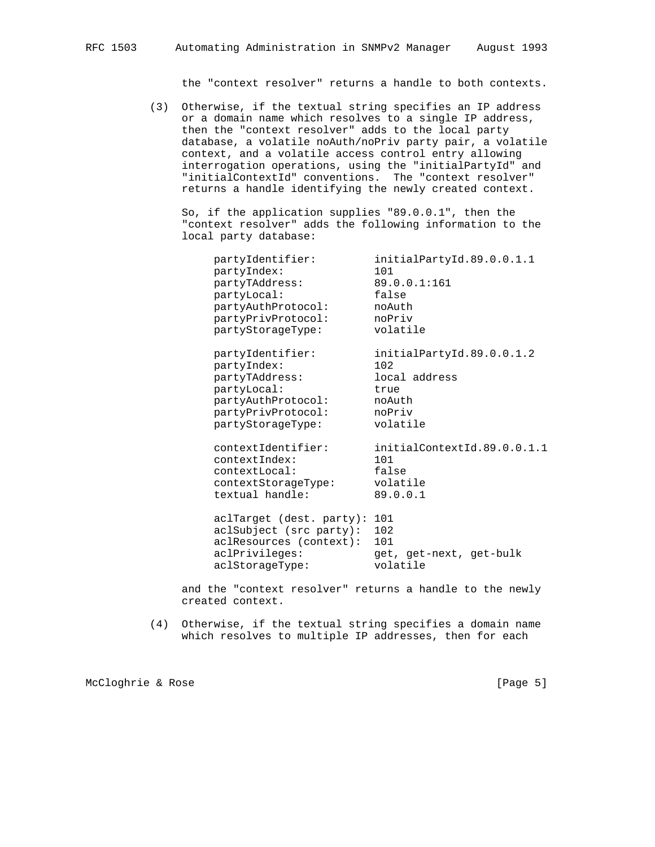the "context resolver" returns a handle to both contexts.

 (3) Otherwise, if the textual string specifies an IP address or a domain name which resolves to a single IP address, then the "context resolver" adds to the local party database, a volatile noAuth/noPriv party pair, a volatile context, and a volatile access control entry allowing interrogation operations, using the "initialPartyId" and "initialContextId" conventions. The "context resolver" returns a handle identifying the newly created context.

 So, if the application supplies "89.0.0.1", then the "context resolver" adds the following information to the local party database:

| partyIdentifier:<br>partyIndex:<br>partyTAddress:<br>partyLocal:<br>partyAuthProtocol:<br>partyPrivProtocol:<br>partyStorageType: | initialPartyId.89.0.0.1.1<br>101<br>89.0.0.1:161<br>false<br>noAuth<br>noPriv<br>volatile |
|-----------------------------------------------------------------------------------------------------------------------------------|-------------------------------------------------------------------------------------------|
| partyIdentifier:<br>partyIndex:<br>partyTAddress:<br>partyLocal:<br>partyAuthProtocol:<br>partyPrivProtocol:<br>partyStorageType: | initialPartyId.89.0.0.1.2<br>102<br>local address<br>true<br>noAuth<br>noPriv<br>volatile |
| contextIdentifier:<br>contextIndex:<br>contextLocal:<br>contextStorageType:<br>textual handle:                                    | initialContextId.89.0.0.1.1<br>101<br>false<br>volatile<br>89.0.0.1                       |
| aclTarget (dest. party): 101<br>aclSubject (src party):<br>aclResources (context):<br>aclPrivileges:<br>aclStorageType:           | 102<br>101<br>get, get-next, get-bulk<br>volatile                                         |

 and the "context resolver" returns a handle to the newly created context.

 (4) Otherwise, if the textual string specifies a domain name which resolves to multiple IP addresses, then for each

McCloghrie & Rose [Page 5]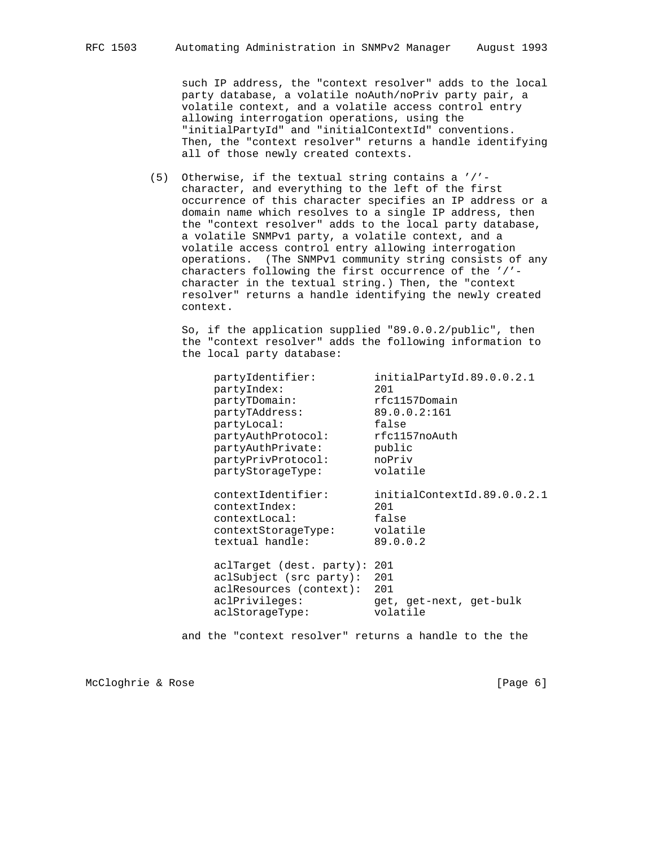such IP address, the "context resolver" adds to the local party database, a volatile noAuth/noPriv party pair, a volatile context, and a volatile access control entry allowing interrogation operations, using the "initialPartyId" and "initialContextId" conventions. Then, the "context resolver" returns a handle identifying all of those newly created contexts.

 (5) Otherwise, if the textual string contains a '/' character, and everything to the left of the first occurrence of this character specifies an IP address or a domain name which resolves to a single IP address, then the "context resolver" adds to the local party database, a volatile SNMPv1 party, a volatile context, and a volatile access control entry allowing interrogation operations. (The SNMPv1 community string consists of any characters following the first occurrence of the '/' character in the textual string.) Then, the "context resolver" returns a handle identifying the newly created context.

 So, if the application supplied "89.0.0.2/public", then the "context resolver" adds the following information to the local party database:

partyIdentifier: initialPartyId.89.0.0.2.1<br>partyIndex: 201 partyIndex: 201 partyTDomain: rfc1157Domain partyTDomain: recl157Domain<br>partyTAddress: 89.0.0.2:161<br>partyLocal: false partyLocal: false partyAuthProtocol: rfc1157noAuth partyAuthPrivate: public partyPrivProtocol: noPriv partyStorageType: volatile contextIdentifier: initialContextId.89.0.0.2.1 contextIndex: 201<br>contextLocal: false contextLocal: false contextStorageType: volatile textual handle: 89.0.0.2 aclTarget (dest. party): 201 aclSubject (src party): 201 aclResources (context): 201 aclPrivileges: get, get-next, get-bulk<br>aclStorageType: volatile aclStorageType:

and the "context resolver" returns a handle to the the

McCloghrie & Rose [Page 6]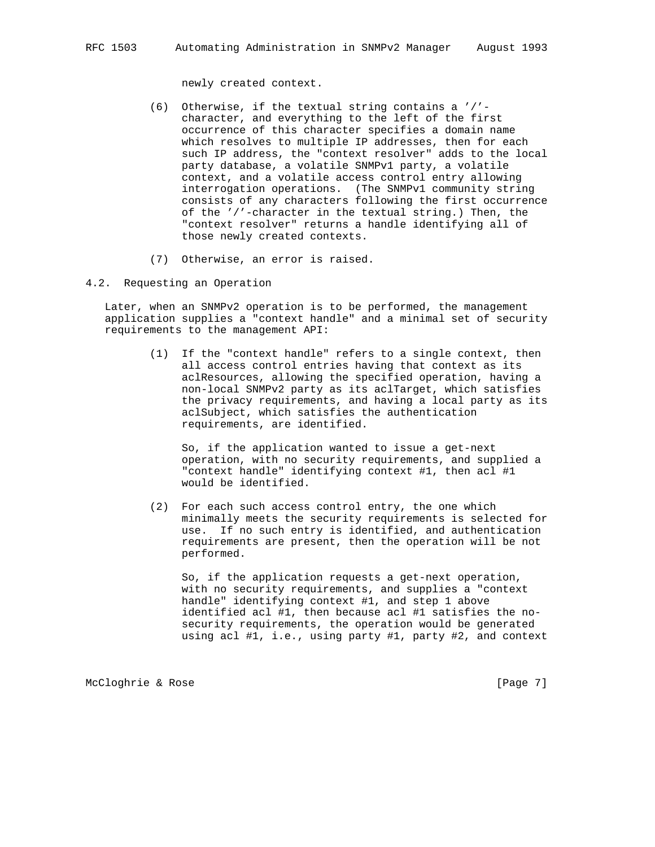newly created context.

- (6) Otherwise, if the textual string contains a '/' character, and everything to the left of the first occurrence of this character specifies a domain name which resolves to multiple IP addresses, then for each such IP address, the "context resolver" adds to the local party database, a volatile SNMPv1 party, a volatile context, and a volatile access control entry allowing interrogation operations. (The SNMPv1 community string consists of any characters following the first occurrence of the '/'-character in the textual string.) Then, the "context resolver" returns a handle identifying all of those newly created contexts.
- (7) Otherwise, an error is raised.
- 4.2. Requesting an Operation

 Later, when an SNMPv2 operation is to be performed, the management application supplies a "context handle" and a minimal set of security requirements to the management API:

> (1) If the "context handle" refers to a single context, then all access control entries having that context as its aclResources, allowing the specified operation, having a non-local SNMPv2 party as its aclTarget, which satisfies the privacy requirements, and having a local party as its aclSubject, which satisfies the authentication requirements, are identified.

 So, if the application wanted to issue a get-next operation, with no security requirements, and supplied a "context handle" identifying context #1, then acl #1 would be identified.

 (2) For each such access control entry, the one which minimally meets the security requirements is selected for use. If no such entry is identified, and authentication requirements are present, then the operation will be not performed.

 So, if the application requests a get-next operation, with no security requirements, and supplies a "context handle" identifying context #1, and step 1 above identified acl #1, then because acl #1 satisfies the no security requirements, the operation would be generated using acl #1, i.e., using party #1, party #2, and context

McCloghrie & Rose [Page 7]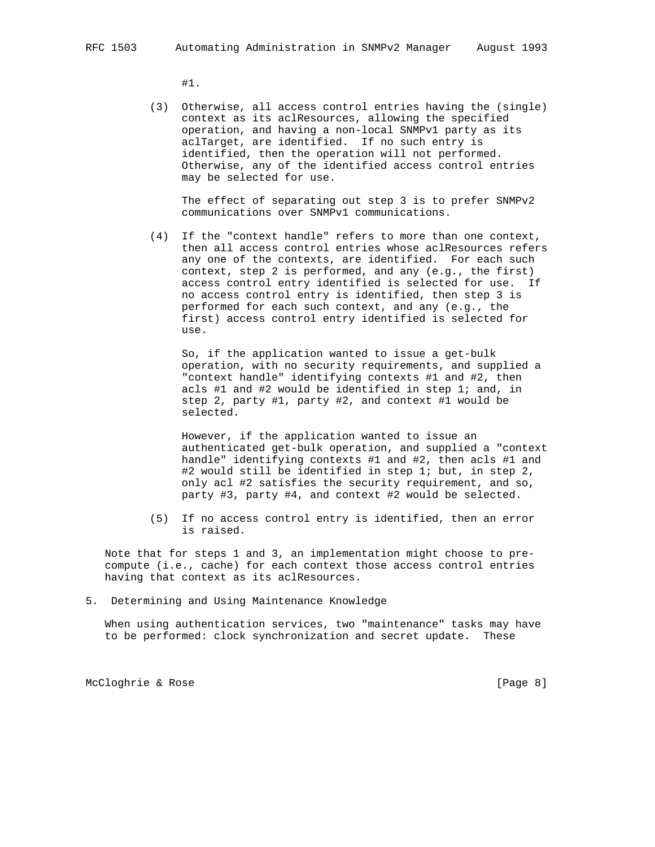#1.

 (3) Otherwise, all access control entries having the (single) context as its aclResources, allowing the specified operation, and having a non-local SNMPv1 party as its aclTarget, are identified. If no such entry is identified, then the operation will not performed. Otherwise, any of the identified access control entries may be selected for use.

 The effect of separating out step 3 is to prefer SNMPv2 communications over SNMPv1 communications.

 (4) If the "context handle" refers to more than one context, then all access control entries whose aclResources refers any one of the contexts, are identified. For each such context, step 2 is performed, and any (e.g., the first) access control entry identified is selected for use. If no access control entry is identified, then step 3 is performed for each such context, and any (e.g., the first) access control entry identified is selected for use.

 So, if the application wanted to issue a get-bulk operation, with no security requirements, and supplied a "context handle" identifying contexts #1 and #2, then acls #1 and #2 would be identified in step 1; and, in step 2, party #1, party #2, and context #1 would be selected.

 However, if the application wanted to issue an authenticated get-bulk operation, and supplied a "context handle" identifying contexts #1 and #2, then acls #1 and #2 would still be identified in step 1; but, in step 2, only acl #2 satisfies the security requirement, and so, party #3, party #4, and context #2 would be selected.

 (5) If no access control entry is identified, then an error is raised.

 Note that for steps 1 and 3, an implementation might choose to pre compute (i.e., cache) for each context those access control entries having that context as its aclResources.

5. Determining and Using Maintenance Knowledge

 When using authentication services, two "maintenance" tasks may have to be performed: clock synchronization and secret update. These

McCloghrie & Rose [Page 8]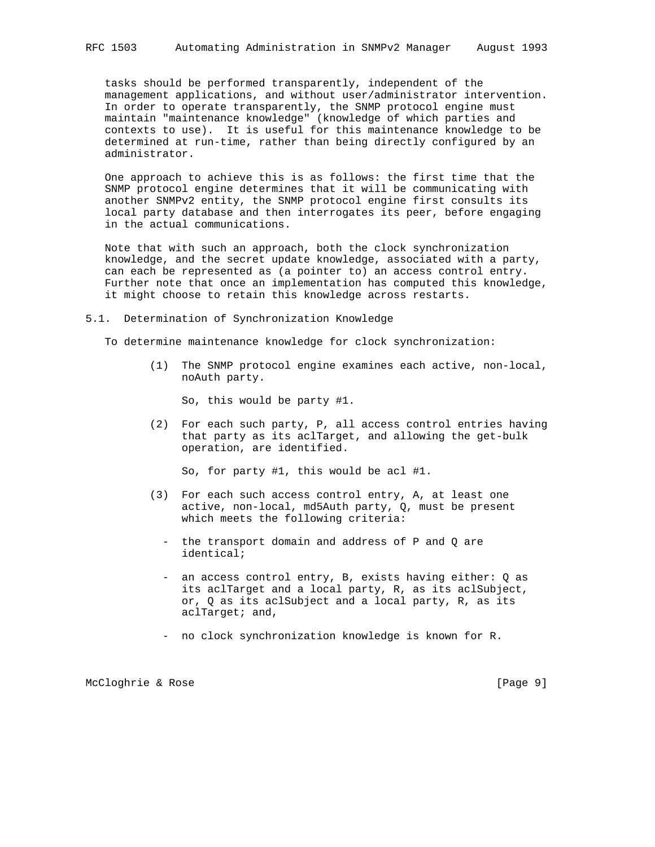tasks should be performed transparently, independent of the management applications, and without user/administrator intervention. In order to operate transparently, the SNMP protocol engine must maintain "maintenance knowledge" (knowledge of which parties and contexts to use). It is useful for this maintenance knowledge to be determined at run-time, rather than being directly configured by an administrator.

 One approach to achieve this is as follows: the first time that the SNMP protocol engine determines that it will be communicating with another SNMPv2 entity, the SNMP protocol engine first consults its local party database and then interrogates its peer, before engaging in the actual communications.

 Note that with such an approach, both the clock synchronization knowledge, and the secret update knowledge, associated with a party, can each be represented as (a pointer to) an access control entry. Further note that once an implementation has computed this knowledge, it might choose to retain this knowledge across restarts.

5.1. Determination of Synchronization Knowledge

To determine maintenance knowledge for clock synchronization:

 (1) The SNMP protocol engine examines each active, non-local, noAuth party.

So, this would be party #1.

 (2) For each such party, P, all access control entries having that party as its aclTarget, and allowing the get-bulk operation, are identified.

So, for party #1, this would be acl #1.

- (3) For each such access control entry, A, at least one active, non-local, md5Auth party, Q, must be present which meets the following criteria:
	- the transport domain and address of P and Q are identical;
	- an access control entry, B, exists having either: Q as its aclTarget and a local party, R, as its aclSubject, or, Q as its aclSubject and a local party, R, as its aclTarget; and,
	- no clock synchronization knowledge is known for R.

McCloghrie & Rose [Page 9]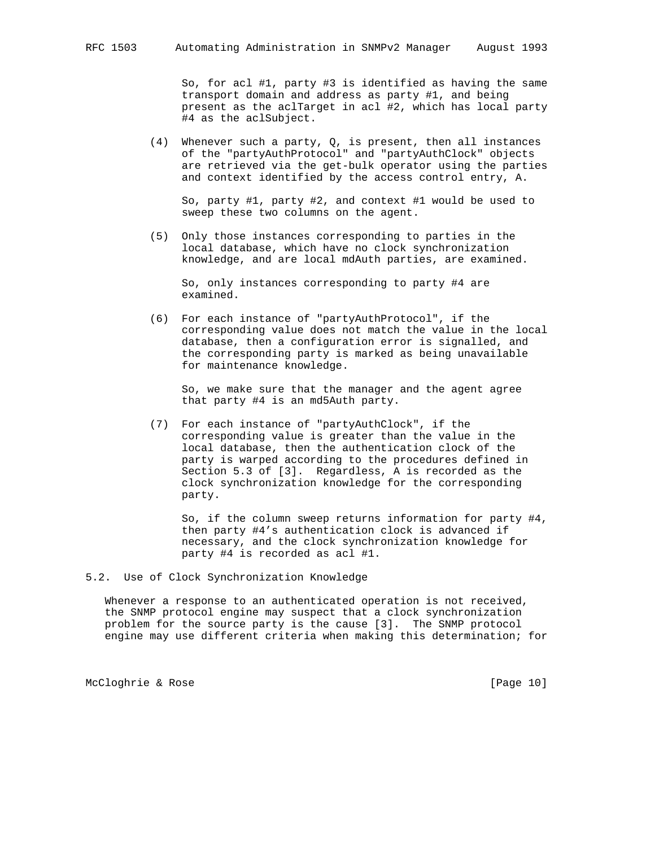So, for acl #1, party #3 is identified as having the same transport domain and address as party #1, and being present as the aclTarget in acl #2, which has local party #4 as the aclSubject.

(4) Whenever such a party,  $Q$ , is present, then all instances of the "partyAuthProtocol" and "partyAuthClock" objects are retrieved via the get-bulk operator using the parties and context identified by the access control entry, A.

 So, party #1, party #2, and context #1 would be used to sweep these two columns on the agent.

 (5) Only those instances corresponding to parties in the local database, which have no clock synchronization knowledge, and are local mdAuth parties, are examined.

 So, only instances corresponding to party #4 are examined.

 (6) For each instance of "partyAuthProtocol", if the corresponding value does not match the value in the local database, then a configuration error is signalled, and the corresponding party is marked as being unavailable for maintenance knowledge.

 So, we make sure that the manager and the agent agree that party #4 is an md5Auth party.

 (7) For each instance of "partyAuthClock", if the corresponding value is greater than the value in the local database, then the authentication clock of the party is warped according to the procedures defined in Section 5.3 of [3]. Regardless, A is recorded as the clock synchronization knowledge for the corresponding party.

 So, if the column sweep returns information for party #4, then party #4's authentication clock is advanced if necessary, and the clock synchronization knowledge for party #4 is recorded as acl #1.

### 5.2. Use of Clock Synchronization Knowledge

 Whenever a response to an authenticated operation is not received, the SNMP protocol engine may suspect that a clock synchronization problem for the source party is the cause [3]. The SNMP protocol engine may use different criteria when making this determination; for

McCloghrie & Rose [Page 10]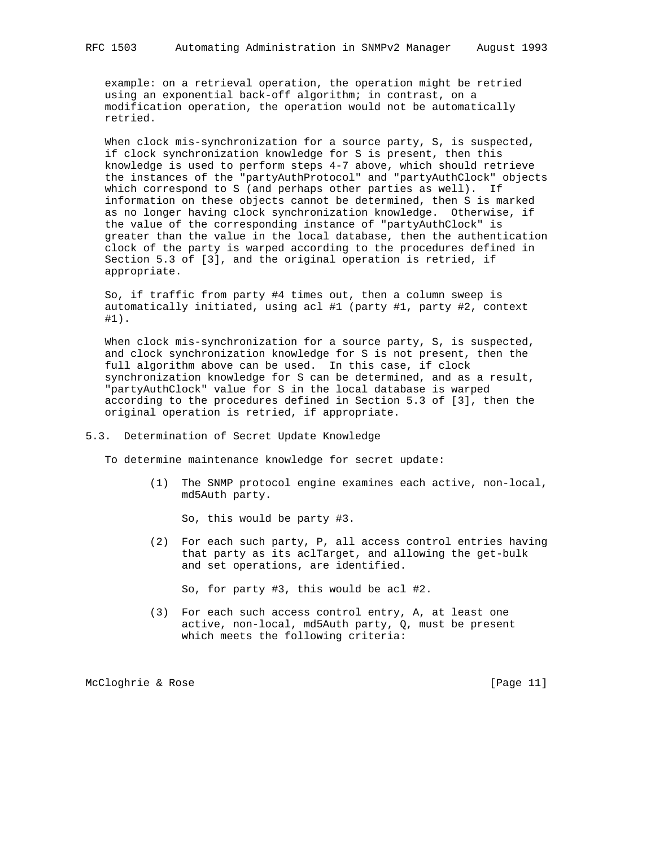example: on a retrieval operation, the operation might be retried using an exponential back-off algorithm; in contrast, on a modification operation, the operation would not be automatically retried.

When clock mis-synchronization for a source party, S, is suspected, if clock synchronization knowledge for S is present, then this knowledge is used to perform steps 4-7 above, which should retrieve the instances of the "partyAuthProtocol" and "partyAuthClock" objects which correspond to S (and perhaps other parties as well). If information on these objects cannot be determined, then S is marked as no longer having clock synchronization knowledge. Otherwise, if the value of the corresponding instance of "partyAuthClock" is greater than the value in the local database, then the authentication clock of the party is warped according to the procedures defined in Section 5.3 of [3], and the original operation is retried, if appropriate.

 So, if traffic from party #4 times out, then a column sweep is automatically initiated, using acl #1 (party #1, party #2, context #1).

 When clock mis-synchronization for a source party, S, is suspected, and clock synchronization knowledge for S is not present, then the full algorithm above can be used. In this case, if clock synchronization knowledge for S can be determined, and as a result, "partyAuthClock" value for S in the local database is warped according to the procedures defined in Section 5.3 of [3], then the original operation is retried, if appropriate.

#### 5.3. Determination of Secret Update Knowledge

To determine maintenance knowledge for secret update:

 (1) The SNMP protocol engine examines each active, non-local, md5Auth party.

So, this would be party #3.

 (2) For each such party, P, all access control entries having that party as its aclTarget, and allowing the get-bulk and set operations, are identified.

So, for party #3, this would be acl #2.

 (3) For each such access control entry, A, at least one active, non-local, md5Auth party, Q, must be present which meets the following criteria:

McCloghrie & Rose [Page 11]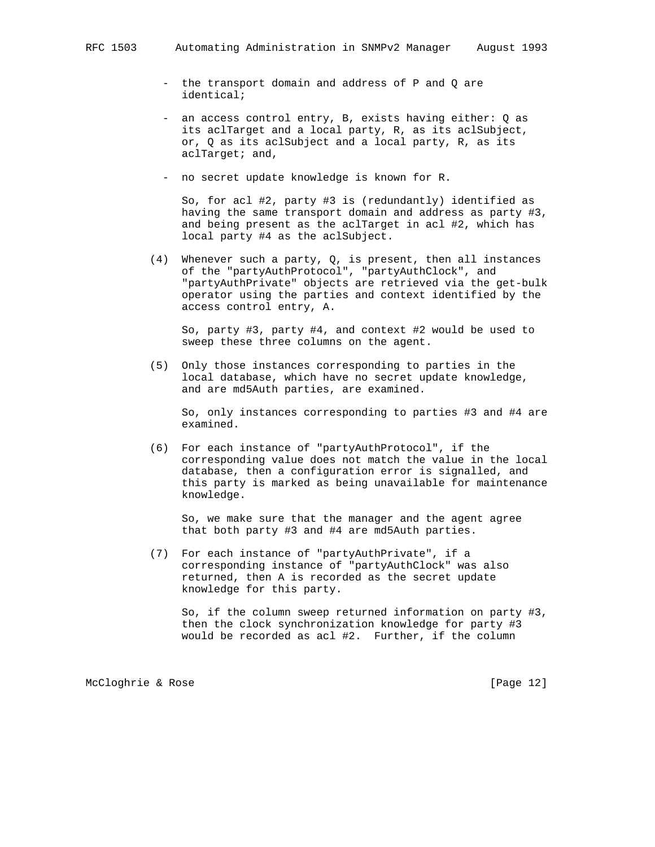- the transport domain and address of P and Q are identical;
- an access control entry, B, exists having either: Q as its aclTarget and a local party, R, as its aclSubject, or, Q as its aclSubject and a local party, R, as its aclTarget; and,
- no secret update knowledge is known for R.

 So, for acl #2, party #3 is (redundantly) identified as having the same transport domain and address as party #3, and being present as the aclTarget in acl #2, which has local party #4 as the aclSubject.

 (4) Whenever such a party, Q, is present, then all instances of the "partyAuthProtocol", "partyAuthClock", and "partyAuthPrivate" objects are retrieved via the get-bulk operator using the parties and context identified by the access control entry, A.

 So, party #3, party #4, and context #2 would be used to sweep these three columns on the agent.

 (5) Only those instances corresponding to parties in the local database, which have no secret update knowledge, and are md5Auth parties, are examined.

 So, only instances corresponding to parties #3 and #4 are examined.

 (6) For each instance of "partyAuthProtocol", if the corresponding value does not match the value in the local database, then a configuration error is signalled, and this party is marked as being unavailable for maintenance knowledge.

 So, we make sure that the manager and the agent agree that both party #3 and #4 are md5Auth parties.

 (7) For each instance of "partyAuthPrivate", if a corresponding instance of "partyAuthClock" was also returned, then A is recorded as the secret update knowledge for this party.

 So, if the column sweep returned information on party #3, then the clock synchronization knowledge for party #3 would be recorded as acl #2. Further, if the column

McCloghrie & Rose [Page 12]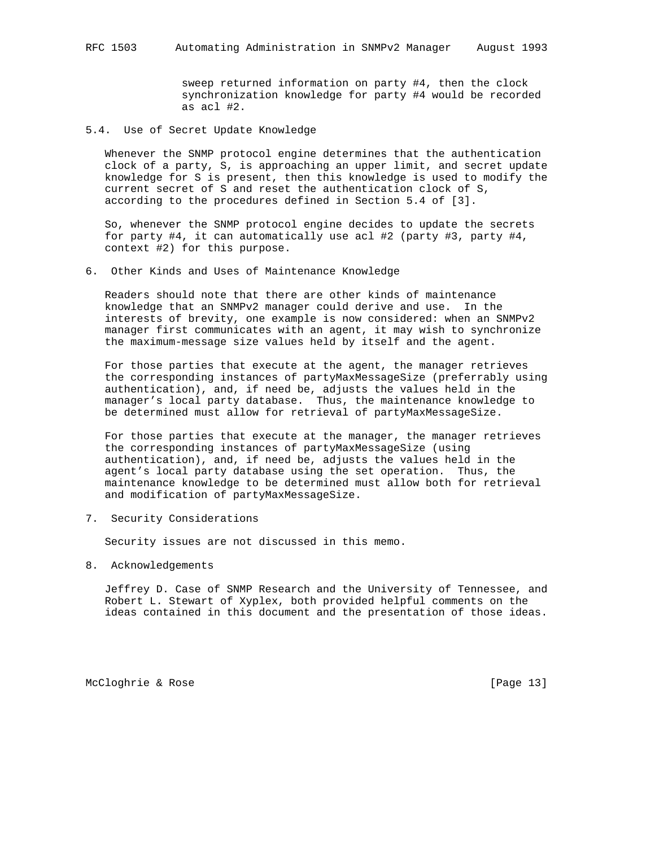sweep returned information on party #4, then the clock synchronization knowledge for party #4 would be recorded as acl #2.

5.4. Use of Secret Update Knowledge

 Whenever the SNMP protocol engine determines that the authentication clock of a party, S, is approaching an upper limit, and secret update knowledge for S is present, then this knowledge is used to modify the current secret of S and reset the authentication clock of S, according to the procedures defined in Section 5.4 of [3].

 So, whenever the SNMP protocol engine decides to update the secrets for party #4, it can automatically use acl #2 (party #3, party #4, context #2) for this purpose.

6. Other Kinds and Uses of Maintenance Knowledge

 Readers should note that there are other kinds of maintenance knowledge that an SNMPv2 manager could derive and use. In the interests of brevity, one example is now considered: when an SNMPv2 manager first communicates with an agent, it may wish to synchronize the maximum-message size values held by itself and the agent.

 For those parties that execute at the agent, the manager retrieves the corresponding instances of partyMaxMessageSize (preferrably using authentication), and, if need be, adjusts the values held in the manager's local party database. Thus, the maintenance knowledge to be determined must allow for retrieval of partyMaxMessageSize.

 For those parties that execute at the manager, the manager retrieves the corresponding instances of partyMaxMessageSize (using authentication), and, if need be, adjusts the values held in the agent's local party database using the set operation. Thus, the maintenance knowledge to be determined must allow both for retrieval and modification of partyMaxMessageSize.

7. Security Considerations

Security issues are not discussed in this memo.

8. Acknowledgements

 Jeffrey D. Case of SNMP Research and the University of Tennessee, and Robert L. Stewart of Xyplex, both provided helpful comments on the ideas contained in this document and the presentation of those ideas.

McCloghrie & Rose [Page 13]